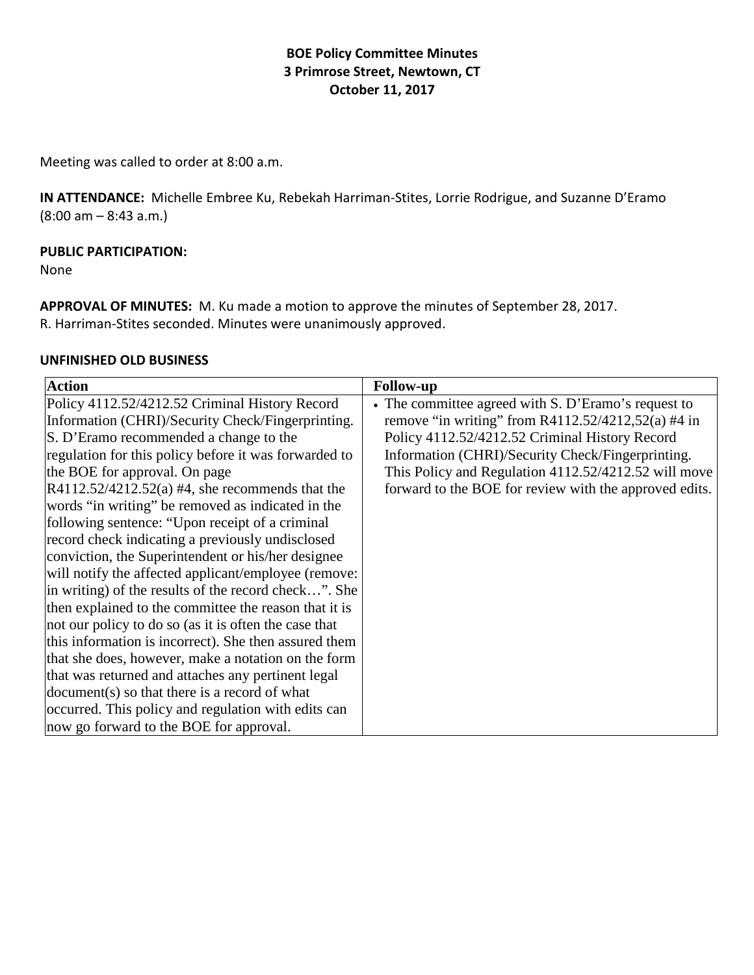# **BOE Policy Committee Minutes 3 Primrose Street, Newtown, CT October 11, 2017**

Meeting was called to order at 8:00 a.m.

**IN ATTENDANCE:** Michelle Embree Ku, Rebekah Harriman-Stites, Lorrie Rodrigue, and Suzanne D'Eramo (8:00 am – 8:43 a.m.)

#### **PUBLIC PARTICIPATION:**

None

**APPROVAL OF MINUTES:** M. Ku made a motion to approve the minutes of September 28, 2017. R. Harriman-Stites seconded. Minutes were unanimously approved.

#### **UNFINISHED OLD BUSINESS**

| <b>Action</b>                                         | <b>Follow-up</b>                                       |
|-------------------------------------------------------|--------------------------------------------------------|
| Policy 4112.52/4212.52 Criminal History Record        | • The committee agreed with S. D'Eramo's request to    |
| Information (CHRI)/Security Check/Fingerprinting.     | remove "in writing" from R4112.52/4212,52(a) #4 in     |
| S. D'Eramo recommended a change to the                | Policy 4112.52/4212.52 Criminal History Record         |
| regulation for this policy before it was forwarded to | Information (CHRI)/Security Check/Fingerprinting.      |
| the BOE for approval. On page                         | This Policy and Regulation 4112.52/4212.52 will move   |
| $R4112.52/4212.52(a)$ #4, she recommends that the     | forward to the BOE for review with the approved edits. |
| words "in writing" be removed as indicated in the     |                                                        |
| following sentence: "Upon receipt of a criminal       |                                                        |
| record check indicating a previously undisclosed      |                                                        |
| conviction, the Superintendent or his/her designee    |                                                        |
| will notify the affected applicant/employee (remove:  |                                                        |
| in writing) of the results of the record check". She  |                                                        |
| then explained to the committee the reason that it is |                                                        |
| not our policy to do so (as it is often the case that |                                                        |
| this information is incorrect). She then assured them |                                                        |
| that she does, however, make a notation on the form   |                                                        |
| that was returned and attaches any pertinent legal    |                                                        |
| document(s) so that there is a record of what         |                                                        |
| occurred. This policy and regulation with edits can   |                                                        |
| now go forward to the BOE for approval.               |                                                        |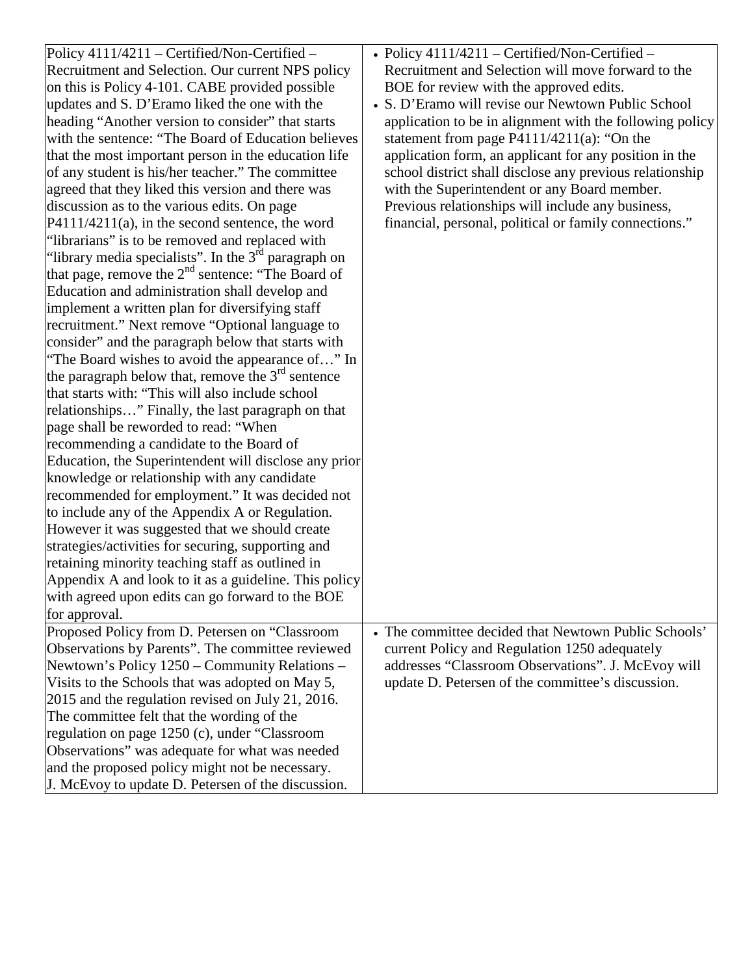| Policy 4111/4211 – Certified/Non-Certified –           | • Policy $4111/4211$ – Certified/Non-Certified –         |
|--------------------------------------------------------|----------------------------------------------------------|
| Recruitment and Selection. Our current NPS policy      | Recruitment and Selection will move forward to the       |
| on this is Policy 4-101. CABE provided possible        | BOE for review with the approved edits.                  |
| updates and S. D'Eramo liked the one with the          | • S. D'Eramo will revise our Newtown Public School       |
| heading "Another version to consider" that starts      | application to be in alignment with the following policy |
| with the sentence: "The Board of Education believes    | statement from page $P4111/4211(a)$ : "On the            |
| that the most important person in the education life   | application form, an applicant for any position in the   |
| of any student is his/her teacher." The committee      | school district shall disclose any previous relationship |
| agreed that they liked this version and there was      | with the Superintendent or any Board member.             |
| discussion as to the various edits. On page            | Previous relationships will include any business,        |
| $P4111/4211(a)$ , in the second sentence, the word     | financial, personal, political or family connections."   |
| "librarians" is to be removed and replaced with        |                                                          |
| "library media specialists". In the $3rd$ paragraph on |                                                          |
| that page, remove the $2nd$ sentence: "The Board of    |                                                          |
| Education and administration shall develop and         |                                                          |
| implement a written plan for diversifying staff        |                                                          |
| recruitment." Next remove "Optional language to        |                                                          |
| consider" and the paragraph below that starts with     |                                                          |
| "The Board wishes to avoid the appearance of" In       |                                                          |
| the paragraph below that, remove the $3^{rd}$ sentence |                                                          |
| that starts with: "This will also include school       |                                                          |
| relationships" Finally, the last paragraph on that     |                                                          |
| page shall be reworded to read: "When                  |                                                          |
| recommending a candidate to the Board of               |                                                          |
| Education, the Superintendent will disclose any prior  |                                                          |
| knowledge or relationship with any candidate           |                                                          |
| recommended for employment." It was decided not        |                                                          |
| to include any of the Appendix A or Regulation.        |                                                          |
| However it was suggested that we should create         |                                                          |
| strategies/activities for securing, supporting and     |                                                          |
| retaining minority teaching staff as outlined in       |                                                          |
| Appendix A and look to it as a guideline. This policy  |                                                          |
| with agreed upon edits can go forward to the BOE       |                                                          |
| for approval.                                          |                                                          |
| Proposed Policy from D. Petersen on "Classroom         | • The committee decided that Newtown Public Schools'     |
| Observations by Parents". The committee reviewed       | current Policy and Regulation 1250 adequately            |
| Newtown's Policy 1250 – Community Relations –          | addresses "Classroom Observations". J. McEvoy will       |
| Visits to the Schools that was adopted on May 5,       | update D. Petersen of the committee's discussion.        |
| 2015 and the regulation revised on July 21, 2016.      |                                                          |
| The committee felt that the wording of the             |                                                          |
| regulation on page 1250 (c), under "Classroom          |                                                          |
| Observations" was adequate for what was needed         |                                                          |
| and the proposed policy might not be necessary.        |                                                          |
| J. McEvoy to update D. Petersen of the discussion.     |                                                          |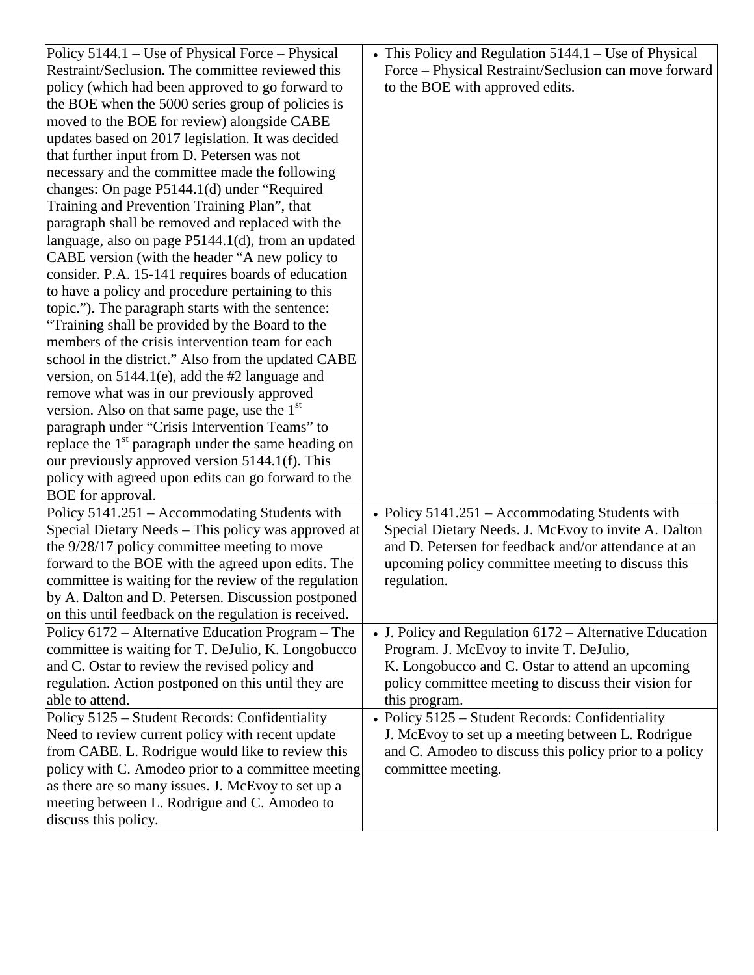| Policy 5144.1 – Use of Physical Force – Physical                | • This Policy and Regulation 5144.1 - Use of Physical   |
|-----------------------------------------------------------------|---------------------------------------------------------|
| Restraint/Seclusion. The committee reviewed this                | Force - Physical Restraint/Seclusion can move forward   |
| policy (which had been approved to go forward to                | to the BOE with approved edits.                         |
| the BOE when the 5000 series group of policies is               |                                                         |
| moved to the BOE for review) alongside CABE                     |                                                         |
| updates based on 2017 legislation. It was decided               |                                                         |
| that further input from D. Petersen was not                     |                                                         |
| necessary and the committee made the following                  |                                                         |
| changes: On page P5144.1(d) under "Required                     |                                                         |
| Training and Prevention Training Plan", that                    |                                                         |
| paragraph shall be removed and replaced with the                |                                                         |
| language, also on page P5144.1(d), from an updated              |                                                         |
| CABE version (with the header "A new policy to                  |                                                         |
| consider. P.A. 15-141 requires boards of education              |                                                         |
| to have a policy and procedure pertaining to this               |                                                         |
| topic."). The paragraph starts with the sentence:               |                                                         |
| "Training shall be provided by the Board to the                 |                                                         |
| members of the crisis intervention team for each                |                                                         |
| school in the district." Also from the updated CABE             |                                                         |
| version, on $5144.1(e)$ , add the #2 language and               |                                                         |
| remove what was in our previously approved                      |                                                         |
| version. Also on that same page, use the $1st$                  |                                                         |
| paragraph under "Crisis Intervention Teams" to                  |                                                         |
| replace the 1 <sup>st</sup> paragraph under the same heading on |                                                         |
| our previously approved version 5144.1(f). This                 |                                                         |
| policy with agreed upon edits can go forward to the             |                                                         |
| BOE for approval.                                               |                                                         |
| Policy 5141.251 - Accommodating Students with                   | • Policy $5141.251$ – Accommodating Students with       |
| Special Dietary Needs - This policy was approved at             | Special Dietary Needs. J. McEvoy to invite A. Dalton    |
| the 9/28/17 policy committee meeting to move                    | and D. Petersen for feedback and/or attendance at an    |
| forward to the BOE with the agreed upon edits. The              | upcoming policy committee meeting to discuss this       |
| committee is waiting for the review of the regulation           | regulation.                                             |
| by A. Dalton and D. Petersen. Discussion postponed              |                                                         |
| on this until feedback on the regulation is received.           |                                                         |
| Policy 6172 – Alternative Education Program – The               | • J. Policy and Regulation 6172 - Alternative Education |
| committee is waiting for T. DeJulio, K. Longobucco              | Program. J. McEvoy to invite T. DeJulio,                |
| and C. Ostar to review the revised policy and                   | K. Longobucco and C. Ostar to attend an upcoming        |
| regulation. Action postponed on this until they are             | policy committee meeting to discuss their vision for    |
| able to attend.                                                 | this program.                                           |
| Policy 5125 - Student Records: Confidentiality                  | • Policy 5125 - Student Records: Confidentiality        |
| Need to review current policy with recent update                | J. McEvoy to set up a meeting between L. Rodrigue       |
| from CABE. L. Rodrigue would like to review this                | and C. Amodeo to discuss this policy prior to a policy  |
| policy with C. Amodeo prior to a committee meeting              | committee meeting.                                      |
| as there are so many issues. J. McEvoy to set up a              |                                                         |
| meeting between L. Rodrigue and C. Amodeo to                    |                                                         |
| discuss this policy.                                            |                                                         |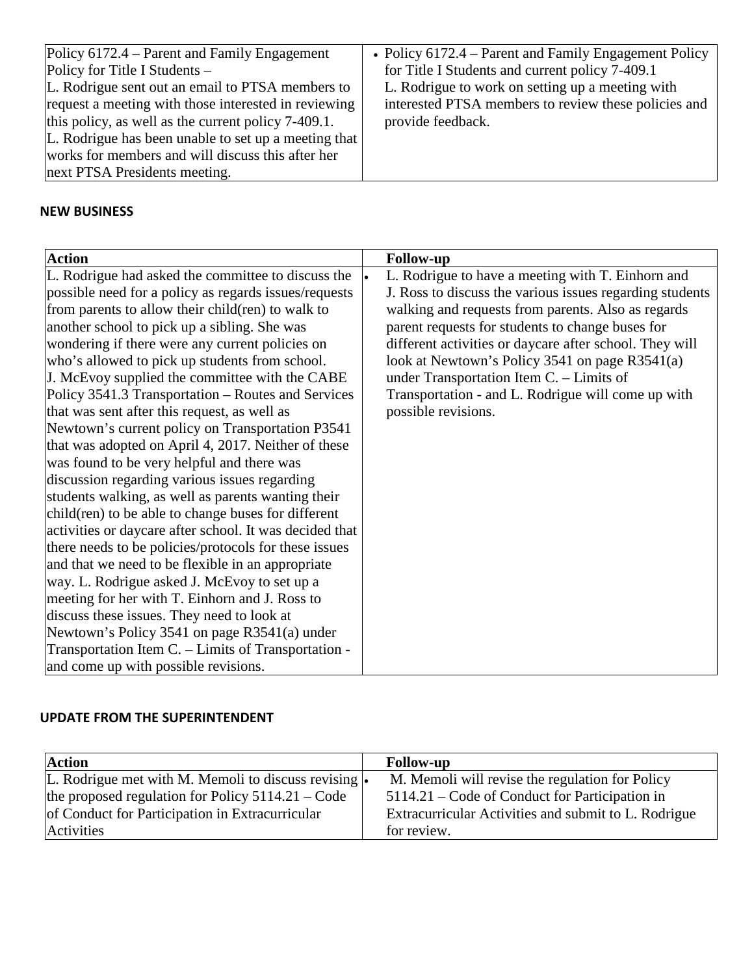| Policy 6172.4 – Parent and Family Engagement<br>• Policy $6172.4$ – Parent and Family Engagement Policy<br>Policy for Title I Students $-$<br>L. Rodrigue sent out an email to PTSA members to<br>request a meeting with those interested in reviewing<br>this policy, as well as the current policy 7-409.1.<br>L. Rodrigue has been unable to set up a meeting that<br>works for members and will discuss this after her<br>next PTSA Presidents meeting. | for Title I Students and current policy 7-409.1<br>L. Rodrigue to work on setting up a meeting with<br>interested PTSA members to review these policies and<br>provide feedback. |
|-------------------------------------------------------------------------------------------------------------------------------------------------------------------------------------------------------------------------------------------------------------------------------------------------------------------------------------------------------------------------------------------------------------------------------------------------------------|----------------------------------------------------------------------------------------------------------------------------------------------------------------------------------|
|-------------------------------------------------------------------------------------------------------------------------------------------------------------------------------------------------------------------------------------------------------------------------------------------------------------------------------------------------------------------------------------------------------------------------------------------------------------|----------------------------------------------------------------------------------------------------------------------------------------------------------------------------------|

# **NEW BUSINESS**

| <b>Action</b>                                                                                                                                                                                                                                                                                                                                                                                                                                                                                                                                                                                                                                                                                                                                                                                                                                                                                                                                                                                                                                                                   |                                                                                                                                                                                                                                                                                                                                                                                                                                                                                            |
|---------------------------------------------------------------------------------------------------------------------------------------------------------------------------------------------------------------------------------------------------------------------------------------------------------------------------------------------------------------------------------------------------------------------------------------------------------------------------------------------------------------------------------------------------------------------------------------------------------------------------------------------------------------------------------------------------------------------------------------------------------------------------------------------------------------------------------------------------------------------------------------------------------------------------------------------------------------------------------------------------------------------------------------------------------------------------------|--------------------------------------------------------------------------------------------------------------------------------------------------------------------------------------------------------------------------------------------------------------------------------------------------------------------------------------------------------------------------------------------------------------------------------------------------------------------------------------------|
| L. Rodrigue had asked the committee to discuss the<br>possible need for a policy as regards issues/requests<br>from parents to allow their child(ren) to walk to<br>another school to pick up a sibling. She was<br>wondering if there were any current policies on<br>who's allowed to pick up students from school.<br>J. McEvoy supplied the committee with the CABE<br>Policy 3541.3 Transportation – Routes and Services<br>that was sent after this request, as well as<br>Newtown's current policy on Transportation P3541<br>that was adopted on April 4, 2017. Neither of these<br>was found to be very helpful and there was<br>discussion regarding various issues regarding<br>students walking, as well as parents wanting their<br>child(ren) to be able to change buses for different<br>activities or daycare after school. It was decided that<br>there needs to be policies/protocols for these issues<br>and that we need to be flexible in an appropriate<br>way. L. Rodrigue asked J. McEvoy to set up a<br>meeting for her with T. Einhorn and J. Ross to | <b>Follow-up</b><br>L. Rodrigue to have a meeting with T. Einhorn and<br>l.<br>J. Ross to discuss the various issues regarding students<br>walking and requests from parents. Also as regards<br>parent requests for students to change buses for<br>different activities or daycare after school. They will<br>look at Newtown's Policy 3541 on page R3541(a)<br>under Transportation Item $C$ . - Limits of<br>Transportation - and L. Rodrigue will come up with<br>possible revisions. |
|                                                                                                                                                                                                                                                                                                                                                                                                                                                                                                                                                                                                                                                                                                                                                                                                                                                                                                                                                                                                                                                                                 |                                                                                                                                                                                                                                                                                                                                                                                                                                                                                            |
| discuss these issues. They need to look at<br>Newtown's Policy 3541 on page R3541(a) under                                                                                                                                                                                                                                                                                                                                                                                                                                                                                                                                                                                                                                                                                                                                                                                                                                                                                                                                                                                      |                                                                                                                                                                                                                                                                                                                                                                                                                                                                                            |
| Transportation Item C. - Limits of Transportation -<br>and come up with possible revisions.                                                                                                                                                                                                                                                                                                                                                                                                                                                                                                                                                                                                                                                                                                                                                                                                                                                                                                                                                                                     |                                                                                                                                                                                                                                                                                                                                                                                                                                                                                            |

### **UPDATE FROM THE SUPERINTENDENT**

| <b>Action</b>                                         | <b>Follow-up</b>                                     |
|-------------------------------------------------------|------------------------------------------------------|
| L. Rodrigue met with M. Memoli to discuss revising  . | M. Memoli will revise the regulation for Policy      |
| the proposed regulation for Policy $5114.21 - Code$   | 5114.21 – Code of Conduct for Participation in       |
| of Conduct for Participation in Extracurricular       | Extracurricular Activities and submit to L. Rodrigue |
| <b>Activities</b>                                     | for review.                                          |